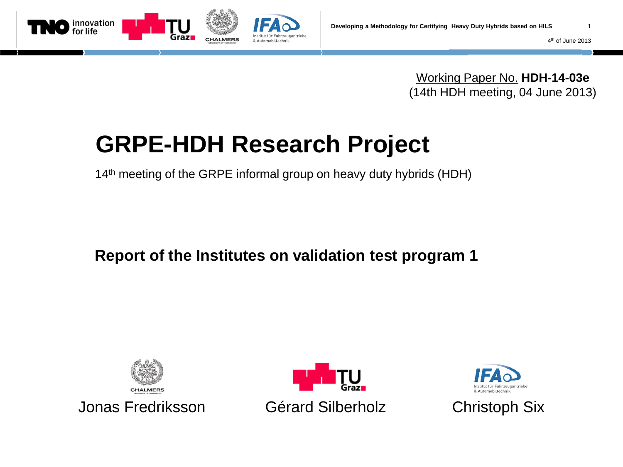

4th of June 2013

Working Paper No. **HDH-14-03e** (14th HDH meeting, 04 June 2013)

# **GRPE-HDH Research Project**

14<sup>th</sup> meeting of the GRPE informal group on heavy duty hybrids (HDH)

**Report of the Institutes on validation test program 1**







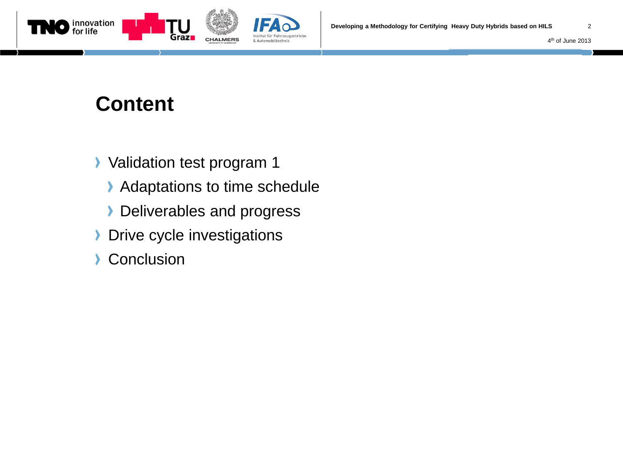



### **Content**

- **Validation test program 1** 
	- Adaptations to time schedule
	- **Deliverables and progress**
- Drive cycle investigations Σ
- **Conclusion** Y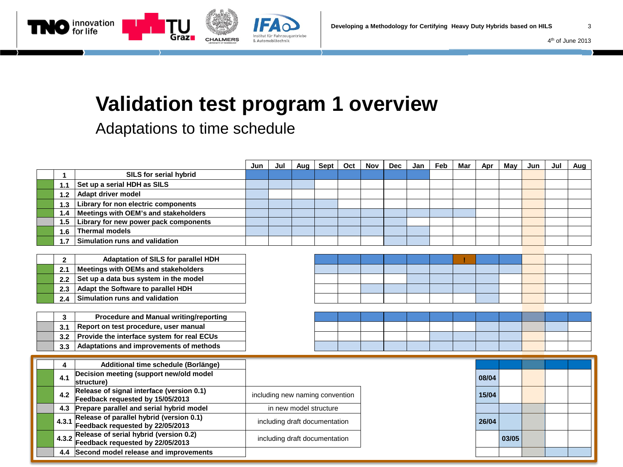

Institut für Fahrzeugantriebe

& Automobiltechnik

Adaptations to time schedule

az∎

**CHALMERS** 

innovation<br>for life

|  |              |                                                                               | Jun                             | Jul | Aug | Sept | Oct | Nov | <b>Dec</b> | Jan   | Feb   | Mar | Apr | May | Jun | Jul | Aug |
|--|--------------|-------------------------------------------------------------------------------|---------------------------------|-----|-----|------|-----|-----|------------|-------|-------|-----|-----|-----|-----|-----|-----|
|  |              | SILS for serial hybrid                                                        |                                 |     |     |      |     |     |            |       |       |     |     |     |     |     |     |
|  | 1.1          | Set up a serial HDH as SILS                                                   |                                 |     |     |      |     |     |            |       |       |     |     |     |     |     |     |
|  | 1.2          | Adapt driver model                                                            |                                 |     |     |      |     |     |            |       |       |     |     |     |     |     |     |
|  | 1.3          | Library for non electric components                                           |                                 |     |     |      |     |     |            |       |       |     |     |     |     |     |     |
|  | 1.4          | Meetings with OEM's and stakeholders                                          |                                 |     |     |      |     |     |            |       |       |     |     |     |     |     |     |
|  | 1.5          | Library for new power pack components                                         |                                 |     |     |      |     |     |            |       |       |     |     |     |     |     |     |
|  | 1.6          | <b>Thermal models</b>                                                         |                                 |     |     |      |     |     |            |       |       |     |     |     |     |     |     |
|  | 1.7          | Simulation runs and validation                                                |                                 |     |     |      |     |     |            |       |       |     |     |     |     |     |     |
|  |              |                                                                               |                                 |     |     |      |     |     |            |       |       |     |     |     |     |     |     |
|  | $\mathbf{2}$ | Adaptation of SILS for parallel HDH                                           |                                 |     |     |      |     |     |            |       |       |     |     |     |     |     |     |
|  | 2.1          | Meetings with OEMs and stakeholders                                           |                                 |     |     |      |     |     |            |       |       |     |     |     |     |     |     |
|  | 2.2          | Set up a data bus system in the model                                         |                                 |     |     |      |     |     |            |       |       |     |     |     |     |     |     |
|  | 2.3          | Adapt the Software to parallel HDH                                            |                                 |     |     |      |     |     |            |       |       |     |     |     |     |     |     |
|  | 2.4          | Simulation runs and validation                                                |                                 |     |     |      |     |     |            |       |       |     |     |     |     |     |     |
|  |              |                                                                               |                                 |     |     |      |     |     |            |       |       |     |     |     |     |     |     |
|  | 3            | <b>Procedure and Manual writing/reporting</b>                                 |                                 |     |     |      |     |     |            |       |       |     |     |     |     |     |     |
|  | 3.1          | Report on test procedure, user manual                                         |                                 |     |     |      |     |     |            |       |       |     |     |     |     |     |     |
|  | 3.2          | Provide the interface system for real ECUs                                    |                                 |     |     |      |     |     |            |       |       |     |     |     |     |     |     |
|  | 3.3          | Adaptations and improvements of methods                                       |                                 |     |     |      |     |     |            |       |       |     |     |     |     |     |     |
|  |              |                                                                               |                                 |     |     |      |     |     |            |       |       |     |     |     |     |     |     |
|  | 4            | Additional time schedule (Borlänge)                                           |                                 |     |     |      |     |     |            |       |       |     |     |     |     |     |     |
|  | 4.1          | Decision meeting (support new/old model<br>structure)                         |                                 |     |     |      |     |     |            | 08/04 |       |     |     |     |     |     |     |
|  | 4.2          | Release of signal interface (version 0.1)<br>Feedback requested by 15/05/2013 | including new naming convention |     |     |      |     |     |            | 15/04 |       |     |     |     |     |     |     |
|  |              | 4.3 Prepare parallel and serial hybrid model                                  | in new model structure          |     |     |      |     |     |            |       |       |     |     |     |     |     |     |
|  | 4.3.1        | Release of parallel hybrid (version 0.1)<br>Feedback requested by 22/05/2013  | including draft documentation   |     |     |      |     |     |            | 26/04 |       |     |     |     |     |     |     |
|  | 4.3.2        | Release of serial hybrid (version 0.2)<br>Feedback requested by 22/05/2013    | including draft documentation   |     |     |      |     |     |            |       | 03/05 |     |     |     |     |     |     |
|  |              | 4.4 Second model release and improvements                                     |                                 |     |     |      |     |     |            |       |       |     |     |     |     |     |     |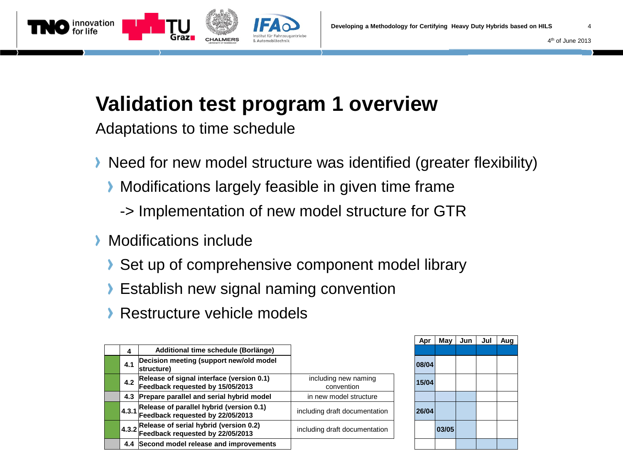

CHALMERS

Adaptations to time schedule

ınovation

- Need for new model structure was identified (greater flexibility)
	- **Modifications largely feasible in given time frame** 
		- -> Implementation of new model structure for GTR
- Modifications include У
	- Set up of comprehensive component model library
	- **Establish new signal naming convention**
	- **Restructure vehicle models**

|  |       |                                                                                                        |                                    | Apr   | may   |
|--|-------|--------------------------------------------------------------------------------------------------------|------------------------------------|-------|-------|
|  | 4     | Additional time schedule (Borlänge)                                                                    |                                    |       |       |
|  | 4.1   | Decision meeting (support new/old model<br>structure)                                                  |                                    | 08/04 |       |
|  | 4.2   | Release of signal interface (version 0.1)<br>Feedback requested by 15/05/2013                          | including new naming<br>convention | 15/04 |       |
|  |       | 4.3 Prepare parallel and serial hybrid model                                                           | in new model structure             |       |       |
|  | 4.3.1 | Release of parallel hybrid (version 0.1)<br>Feedback requested by 22/05/2013                           | including draft documentation      | 26/04 |       |
|  |       | $\vert$ 4.3.2 Release of serial hybrid (version 0.2)<br>$\vert$ 4.3.2 Feedback requested by 22/05/2013 | including draft documentation      |       | 03/05 |
|  |       | 4.4 Second model release and improvements                                                              |                                    |       |       |
|  |       |                                                                                                        |                                    |       |       |

| Apr   | May   | Jun | Jul | Aug |
|-------|-------|-----|-----|-----|
|       |       |     |     |     |
| 08/04 |       |     |     |     |
| 15/04 |       |     |     |     |
|       |       |     |     |     |
| 26/04 |       |     |     |     |
|       | 03/05 |     |     |     |
|       |       |     |     |     |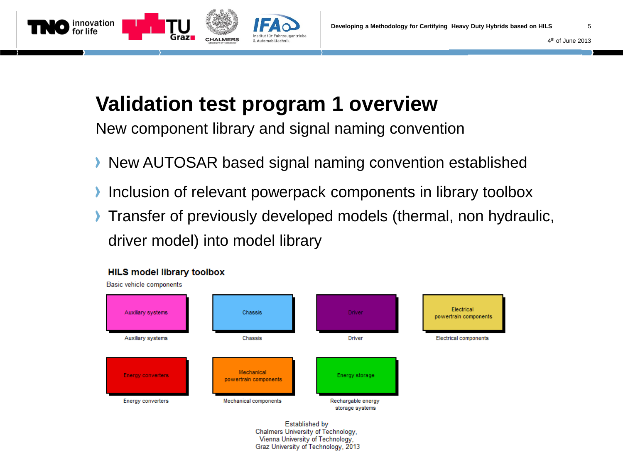

New component library and signal naming convention

- **New AUTOSAR based signal naming convention established**
- Inclusion of relevant powerpack components in library toolbox
- Transfer of previously developed models (thermal, non hydraulic, ⋗ driver model) into model library



Established by Chalmers University of Technology, Vienna University of Technology, Graz University of Technology, 2013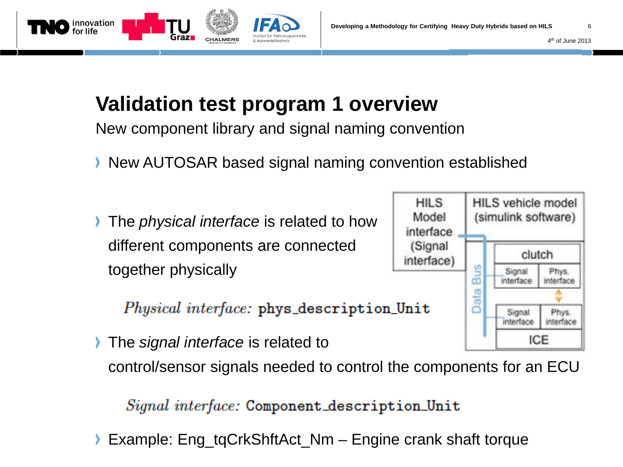

New component library and signal naming convention

- **New AUTOSAR based signal naming convention established**
- **The** *physical interface* is related to how different components are connected together physically

**CHALMERS** 

innovation

*Physical interface:* phys\_description\_Unit

ICE **The** *signal interface* is related to control/sensor signals needed to control the components for an ECU

#### Signal interface: Component\_description\_Unit

Example: Eng\_tqCrkShftAct\_Nm – Engine crank shaft torque

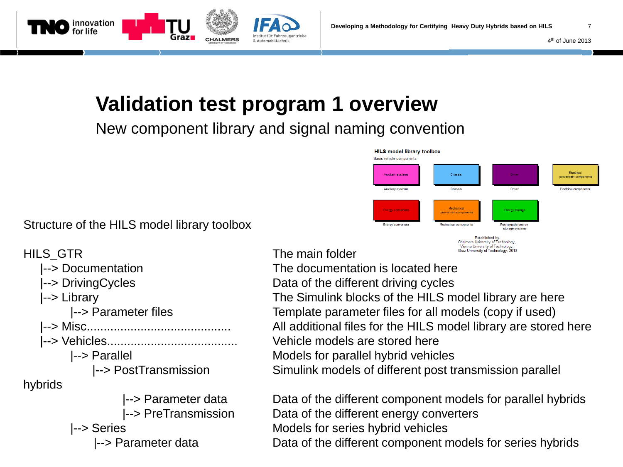& Automobiltechnik

**CHALMERS** 

New component library and signal naming convention



Structure of the HILS model library toolbox

innovation or life

- |--> Vehicles....................................... Vehicle models are stored here hybrids
	-

HILS GTR The main folder

 |--> Documentation The documentation is located here |--> DrivingCycles **Data of the different driving cycles**  |--> Library The Simulink blocks of the HILS model library are here |--> Parameter files Template parameter files for all models (copy if used) |--> Misc........................................... All additional files for the HILS model library are stored here |--> Parallel Models for parallel hybrid vehicles |--> PostTransmission Simulink models of different post transmission parallel

 |--> Parameter data Data of the different component models for parallel hybrids |--> PreTransmission Data of the different energy converters |--> Series Models for series hybrid vehicles |--> Parameter data Data of the different component models for series hybrids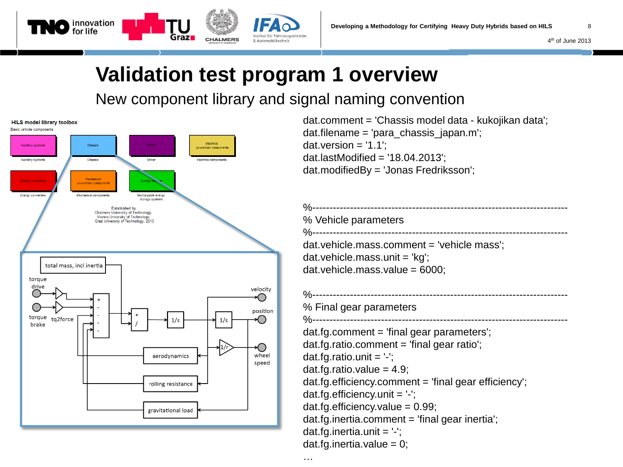

#### New component library and signal naming convention



dat.comment = 'Chassis model data - kukojikan data'; dat.filename = 'para\_chassis\_japan.m'; dat.version  $= '1.1$ dat.lastModified = '18.04.2013'; dat.modifiedBy = 'Jonas Fredriksson';

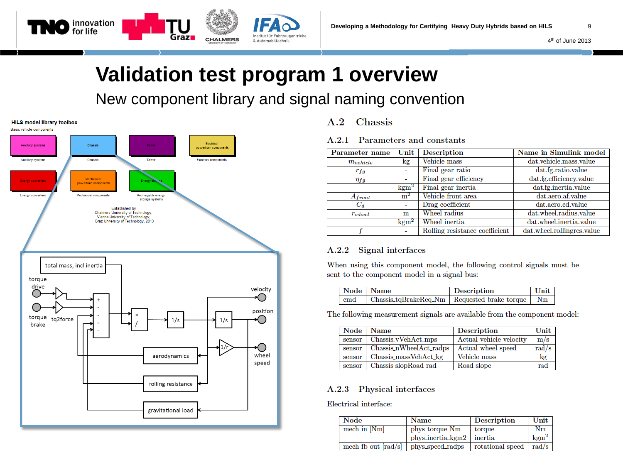#### New component library and signal naming convention



#### $A.2$ Chassis

#### $A.2.1$ Parameters and constants

| Parameter name | Unit             | <b>Description</b>             | Name in Simulink model     |
|----------------|------------------|--------------------------------|----------------------------|
| $m_{vehicle}$  | kg               | Vehicle mass                   | dat.vehicle.mass.value     |
| $r_{fg}$       |                  | Final gear ratio               | dat.fg.ratio.value         |
| $\eta_{fg}$    |                  | Final gear efficiency          | dat.fg.efficiency.value    |
|                | $\mathrm{kgm}^2$ | Final gear inertia             | dat.fg.inertia.value       |
| $A_{front}$    | m <sup>2</sup>   | Vehicle front area             | dat.aero.af.value          |
| $C_d$          |                  | Drag coefficient               | dat.aero.cd.value          |
| $r_{wheel}$    | m                | Wheel radius                   | dat.wheel.radius.value     |
|                | $\mathrm{kgm}^2$ | Wheel inertia                  | dat.wheel.inertia.value    |
|                | ۰                | Rolling resistance coefficient | dat.wheel.rollingres.value |

#### **Signal interfaces**  $A.2.2$

When using this component model, the following control signals must be sent to the component model in a signal bus:

| Node Name        |                                                     | Description | Unit |
|------------------|-----------------------------------------------------|-------------|------|
| $\mathbf{c}$ and | Chassis_tqBrakeReq_Nm   Requested brake torque   Nm |             |      |

The following measurement signals are available from the component model:

| Node   | <b>Name</b>             | <b>Description</b>      | Unit  |
|--------|-------------------------|-------------------------|-------|
| sensor | Chassis_vVehAct_mps     | Actual vehicle velocity | m/s   |
| sensor | Chassis nWheelAct_radps | Actual wheel speed      | rad/s |
| sensor | Chassis_massVehAct_kg   | Vehicle mass            | kg    |
| sensor | Chassis_slopRoad_rad    | Road slope              | rad   |

#### Physical interfaces  $A.2.3$

Electrical interface:

| Node                  | <b>Name</b>       | <b>Description</b> | Unit             |
|-----------------------|-------------------|--------------------|------------------|
| mech in [Nm]          | phys_torque_Nm    | torque             | $_{\rm Nm}$      |
|                       | phys_inertia_kgm2 | inertia            | $\mathrm{kgm}^2$ |
| mech fb out $[rad/s]$ | phys_speed_radps  | rotational speed   | rad/s            |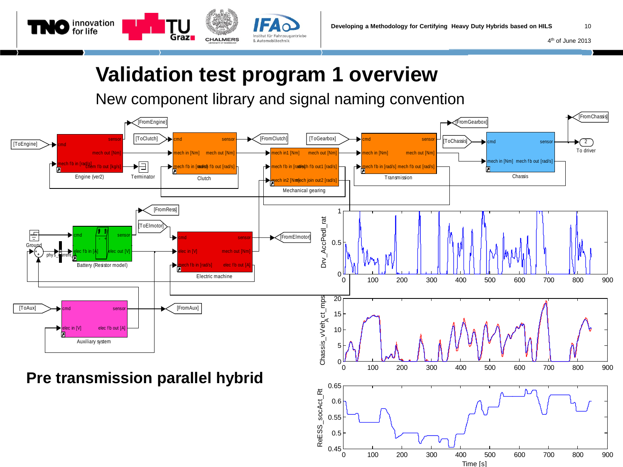

& Automobiltechnik

innovation<br>for life

Grazi

**CHALMERS** 

New component library and signal naming convention

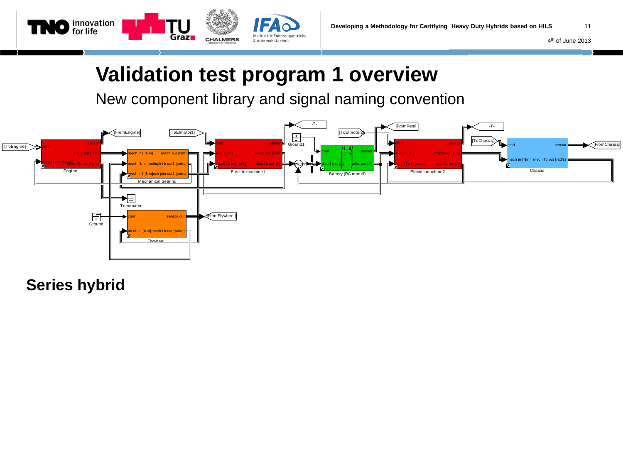

New component library and signal naming convention



**Series hybrid**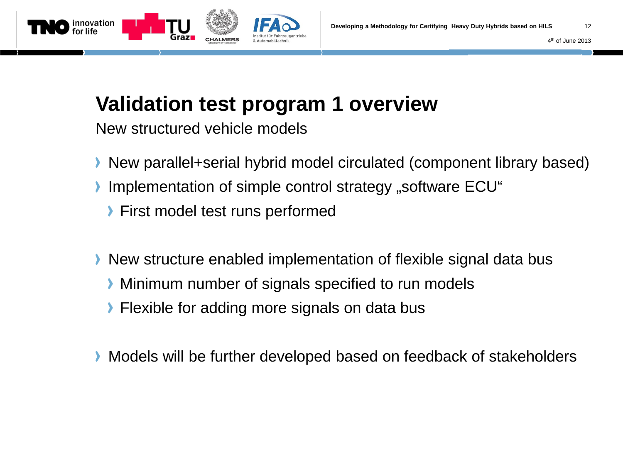

New structured vehicle models

- New parallel+serial hybrid model circulated (component library based)
- Implementation of simple control strategy "software ECU"
	- **First model test runs performed**
- New structure enabled implementation of flexible signal data bus
	- **Minimum number of signals specified to run models**
	- **Flexible for adding more signals on data bus**
- Models will be further developed based on feedback of stakeholders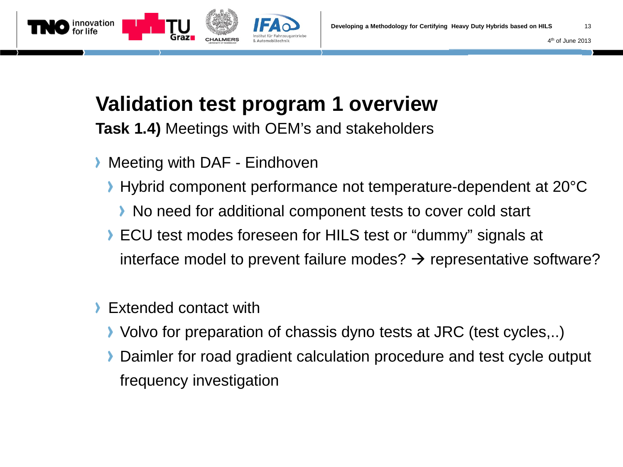

**Task 1.4)** Meetings with OEM's and stakeholders

- **Meeting with DAF Eindhoven** 
	- Hybrid component performance not temperature-dependent at 20°C
		- ▶ No need for additional component tests to cover cold start
	- **ECU test modes foreseen for HILS test or "dummy" signals at** interface model to prevent failure modes?  $\rightarrow$  representative software?
- Extended contact with
	- Volvo for preparation of chassis dyno tests at JRC (test cycles,..)
	- Daimler for road gradient calculation procedure and test cycle output frequency investigation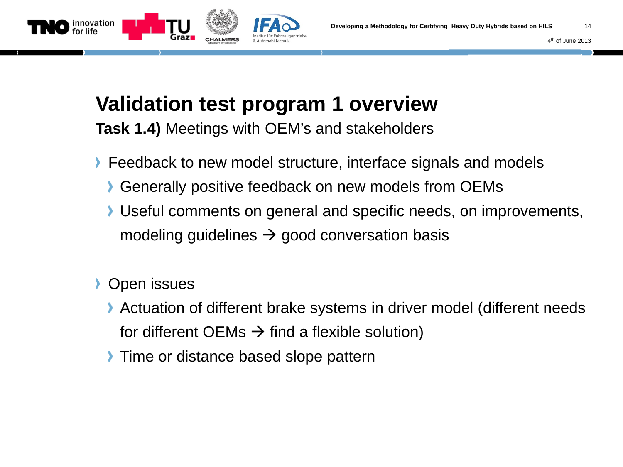

**Task 1.4)** Meetings with OEM's and stakeholders

- **Feedback to new model structure, interface signals and models** 
	- Generally positive feedback on new models from OEMs
	- Useful comments on general and specific needs, on improvements, modeling guidelines  $\rightarrow$  good conversation basis
- **Open issues** 
	- Actuation of different brake systems in driver model (different needs for different OEMs  $\rightarrow$  find a flexible solution)
	- **Time or distance based slope pattern**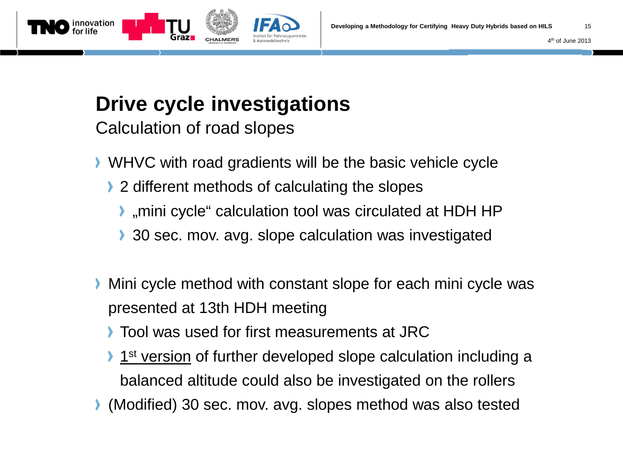

Calculation of road slopes

- WHVC with road gradients will be the basic vehicle cycle
	- ▶ 2 different methods of calculating the slopes
		- "mini cycle" calculation tool was circulated at HDH HP
		- 30 sec. mov. avg. slope calculation was investigated
- Mini cycle method with constant slope for each mini cycle was ⋗ presented at 13th HDH meeting
	- **Tool was used for first measurements at JRC**
	- **1st version of further developed slope calculation including a** balanced altitude could also be investigated on the rollers
- (Modified) 30 sec. mov. avg. slopes method was also tested

4th of June 2013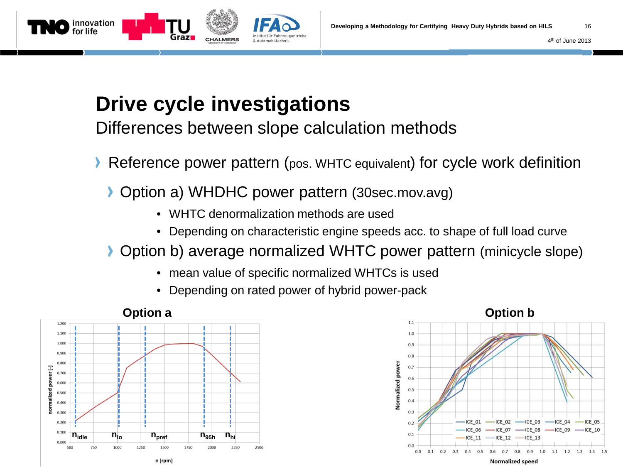



Differences between slope calculation methods

- Reference power pattern (pos. WHTC equivalent) for cycle work definition
	- Option a) WHDHC power pattern (30sec.mov.avg)
		- WHTC denormalization methods are used
		- Depending on characteristic engine speeds acc. to shape of full load curve

#### Option b) average normalized WHTC power pattern (minicycle slope)

- mean value of specific normalized WHTCs is used
- Depending on rated power of hybrid power-pack



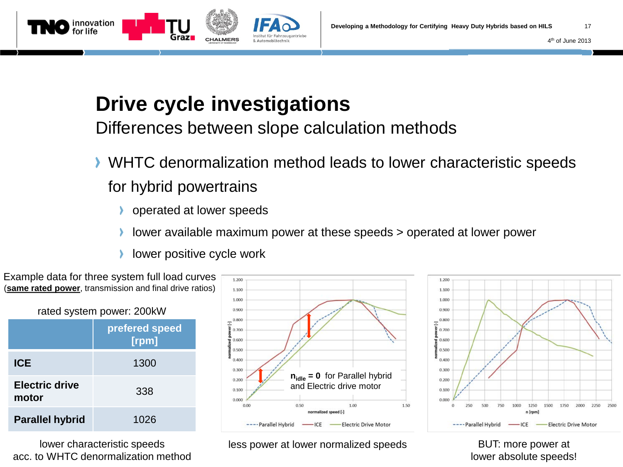

**CHALMERS** 

Differences between slope calculation methods

& Automobiltechnik

- WHTC denormalization method leads to lower characteristic speeds for hybrid powertrains
	- operated at lower speeds
	- lower available maximum power at these speeds > operated at lower power
	- lower positive cycle work

acc. to WHTC denormalization method

innovation<br>for life



less power at lower normalized speeds BUT: more power at

lower absolute speeds!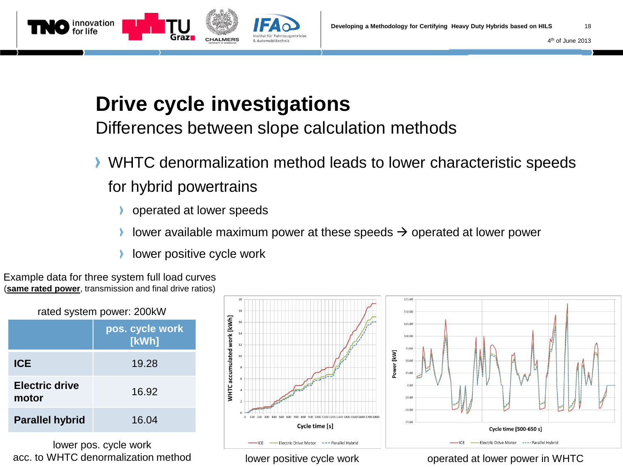



Differences between slope calculation methods

- WHTC denormalization method leads to lower characteristic speeds for hybrid powertrains
	- operated at lower speeds
	- lower available maximum power at these speeds  $\rightarrow$  operated at lower power
	- lower positive cycle work

Example data for three system full load curves (**same rated power**, transmission and final drive ratios)

| rated system power: 200kW |                          |  |  |  |
|---------------------------|--------------------------|--|--|--|
|                           | pos. cycle work<br>[kWh] |  |  |  |
| <b>ICE</b>                | 19.28                    |  |  |  |
| Electric drive<br>motor   | 16.92                    |  |  |  |
| <b>Parallel hybrid</b>    | 16.04                    |  |  |  |

lower pos. cycle work acc. to WHTC denormalization method





lower positive cycle work

operated at lower power in WHTC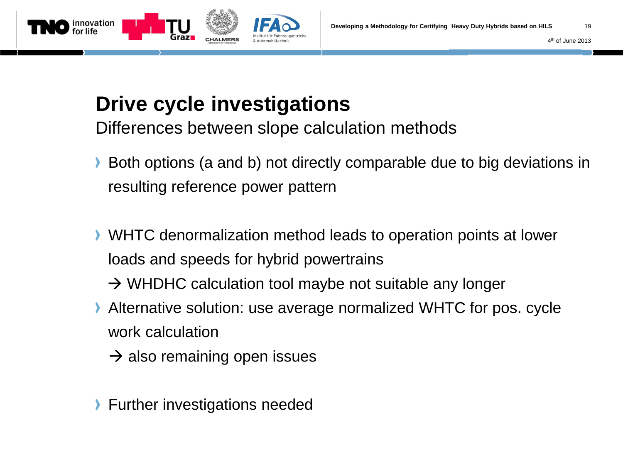



Differences between slope calculation methods

- Both options (a and b) not directly comparable due to big deviations in resulting reference power pattern
- WHTC denormalization method leads to operation points at lower loads and speeds for hybrid powertrains
	- $\rightarrow$  WHDHC calculation tool maybe not suitable any longer
- Alternative solution: use average normalized WHTC for pos. cycle work calculation
	- $\rightarrow$  also remaining open issues
- **Further investigations needed**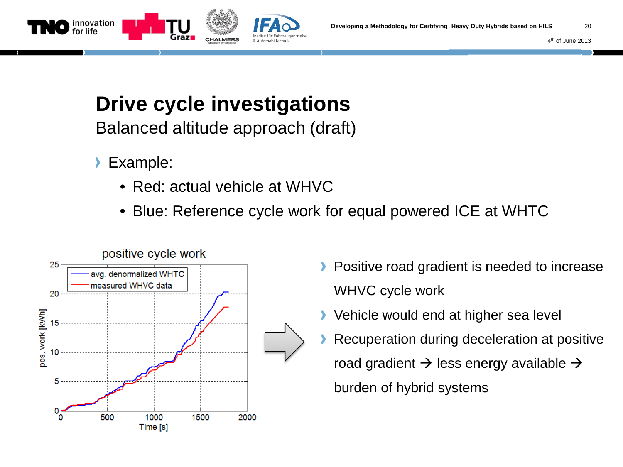



Balanced altitude approach (draft)

- Example:
	- Red: actual vehicle at WHVC
	- Blue: Reference cycle work for equal powered ICE at WHTC



- Positive road gradient is needed to increase WHVC cycle work
- **▶ Vehicle would end at higher sea level**
- Recuperation during deceleration at positive road gradient  $\rightarrow$  less energy available  $\rightarrow$ burden of hybrid systems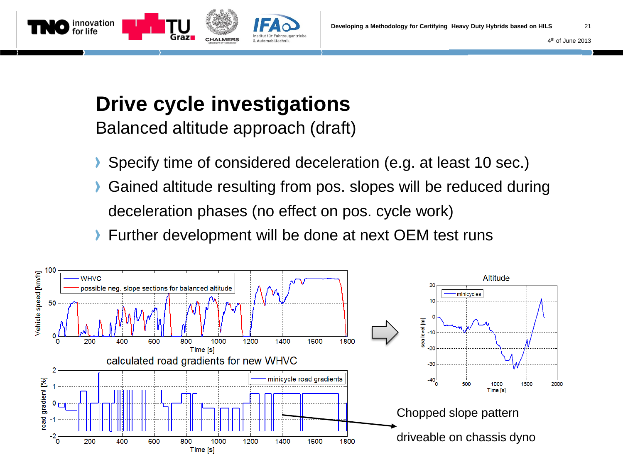



Balanced altitude approach (draft)

- Specify time of considered deceleration (e.g. at least 10 sec.)
- Gained altitude resulting from pos. slopes will be reduced during deceleration phases (no effect on pos. cycle work)
- **Further development will be done at next OEM test runs**

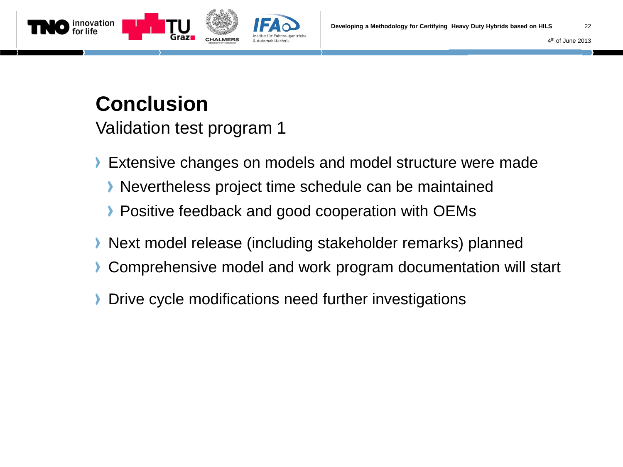4th of June 2013



### **Conclusion**

Validation test program 1

- Extensive changes on models and model structure were made
	- Nevertheless project time schedule can be maintained
	- **Positive feedback and good cooperation with OEMs**
- Next model release (including stakeholder remarks) planned
- **Comprehensive model and work program documentation will start**
- Drive cycle modifications need further investigations≻